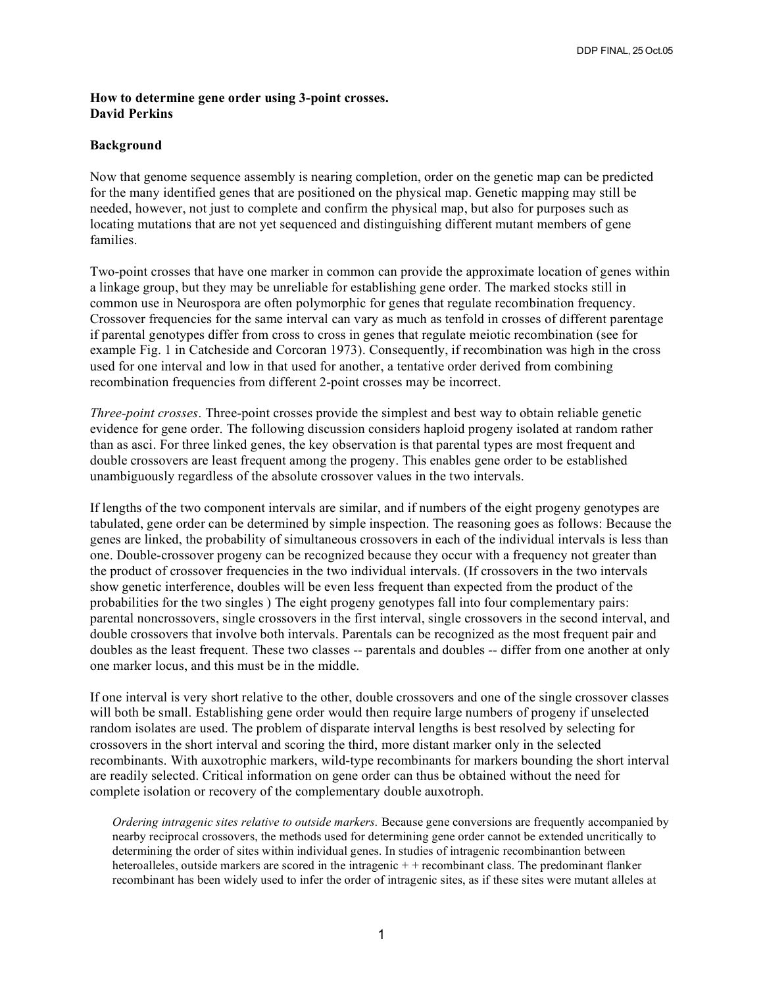## **How to determine gene order using 3-point crosses. David Perkins**

## **Background**

Now that genome sequence assembly is nearing completion, order on the genetic map can be predicted for the many identified genes that are positioned on the physical map. Genetic mapping may still be needed, however, not just to complete and confirm the physical map, but also for purposes such as locating mutations that are not yet sequenced and distinguishing different mutant members of gene families.

Two-point crosses that have one marker in common can provide the approximate location of genes within a linkage group, but they may be unreliable for establishing gene order. The marked stocks still in common use in Neurospora are often polymorphic for genes that regulate recombination frequency. Crossover frequencies for the same interval can vary as much as tenfold in crosses of different parentage if parental genotypes differ from cross to cross in genes that regulate meiotic recombination (see for example Fig. 1 in Catcheside and Corcoran 1973). Consequently, if recombination was high in the cross used for one interval and low in that used for another, a tentative order derived from combining recombination frequencies from different 2-point crosses may be incorrect.

*Three-point crosses*. Three-point crosses provide the simplest and best way to obtain reliable genetic evidence for gene order. The following discussion considers haploid progeny isolated at random rather than as asci. For three linked genes, the key observation is that parental types are most frequent and double crossovers are least frequent among the progeny. This enables gene order to be established unambiguously regardless of the absolute crossover values in the two intervals.

If lengths of the two component intervals are similar, and if numbers of the eight progeny genotypes are tabulated, gene order can be determined by simple inspection. The reasoning goes as follows: Because the genes are linked, the probability of simultaneous crossovers in each of the individual intervals is less than one. Double-crossover progeny can be recognized because they occur with a frequency not greater than the product of crossover frequencies in the two individual intervals. (If crossovers in the two intervals show genetic interference, doubles will be even less frequent than expected from the product of the probabilities for the two singles ) The eight progeny genotypes fall into four complementary pairs: parental noncrossovers, single crossovers in the first interval, single crossovers in the second interval, and double crossovers that involve both intervals. Parentals can be recognized as the most frequent pair and doubles as the least frequent. These two classes -- parentals and doubles -- differ from one another at only one marker locus, and this must be in the middle.

If one interval is very short relative to the other, double crossovers and one of the single crossover classes will both be small. Establishing gene order would then require large numbers of progeny if unselected random isolates are used. The problem of disparate interval lengths is best resolved by selecting for crossovers in the short interval and scoring the third, more distant marker only in the selected recombinants. With auxotrophic markers, wild-type recombinants for markers bounding the short interval are readily selected. Critical information on gene order can thus be obtained without the need for complete isolation or recovery of the complementary double auxotroph.

*Ordering intragenic sites relative to outside markers.* Because gene conversions are frequently accompanied by nearby reciprocal crossovers, the methods used for determining gene order cannot be extended uncritically to determining the order of sites within individual genes. In studies of intragenic recombinantion between heteroalleles, outside markers are scored in the intragenic + + recombinant class. The predominant flanker recombinant has been widely used to infer the order of intragenic sites, as if these sites were mutant alleles at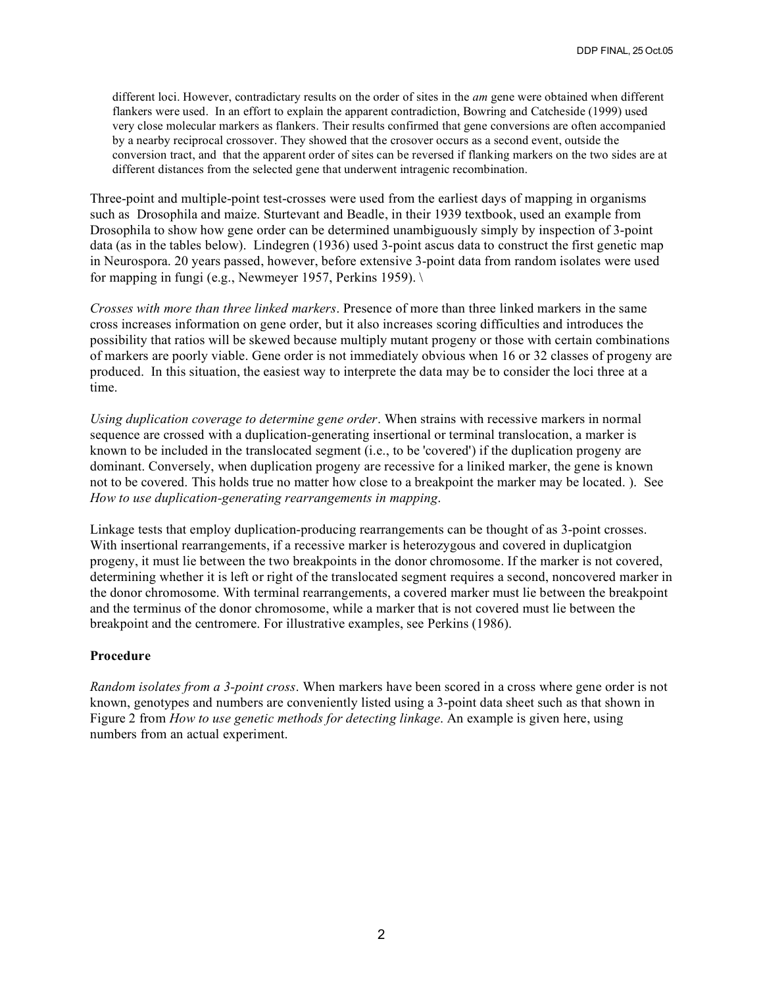different loci. However, contradictary results on the order of sites in the *am* gene were obtained when different flankers were used. In an effort to explain the apparent contradiction, Bowring and Catcheside (1999) used very close molecular markers as flankers. Their results confirmed that gene conversions are often accompanied by a nearby reciprocal crossover. They showed that the crosover occurs as a second event, outside the conversion tract, and that the apparent order of sites can be reversed if flanking markers on the two sides are at different distances from the selected gene that underwent intragenic recombination.

Three-point and multiple-point test-crosses were used from the earliest days of mapping in organisms such as Drosophila and maize. Sturtevant and Beadle, in their 1939 textbook, used an example from Drosophila to show how gene order can be determined unambiguously simply by inspection of 3-point data (as in the tables below). Lindegren (1936) used 3-point ascus data to construct the first genetic map in Neurospora. 20 years passed, however, before extensive 3-point data from random isolates were used for mapping in fungi (e.g., Newmeyer 1957, Perkins 1959).  $\setminus$ 

*Crosses with more than three linked markers*. Presence of more than three linked markers in the same cross increases information on gene order, but it also increases scoring difficulties and introduces the possibility that ratios will be skewed because multiply mutant progeny or those with certain combinations of markers are poorly viable. Gene order is not immediately obvious when 16 or 32 classes of progeny are produced. In this situation, the easiest way to interprete the data may be to consider the loci three at a time.

*Using duplication coverage to determine gene order*. When strains with recessive markers in normal sequence are crossed with a duplication-generating insertional or terminal translocation, a marker is known to be included in the translocated segment (i.e., to be 'covered') if the duplication progeny are dominant. Conversely, when duplication progeny are recessive for a liniked marker, the gene is known not to be covered. This holds true no matter how close to a breakpoint the marker may be located. ). See *How to use duplication-generating rearrangements in mapping*.

Linkage tests that employ duplication-producing rearrangements can be thought of as 3-point crosses. With insertional rearrangements, if a recessive marker is heterozygous and covered in duplicatgion progeny, it must lie between the two breakpoints in the donor chromosome. If the marker is not covered, determining whether it is left or right of the translocated segment requires a second, noncovered marker in the donor chromosome. With terminal rearrangements, a covered marker must lie between the breakpoint and the terminus of the donor chromosome, while a marker that is not covered must lie between the breakpoint and the centromere. For illustrative examples, see Perkins (1986).

## **Procedure**

*Random isolates from a 3-point cross*. When markers have been scored in a cross where gene order is not known, genotypes and numbers are conveniently listed using a 3-point data sheet such as that shown in Figure 2 from *How to use genetic methods for detecting linkage*. An example is given here, using numbers from an actual experiment.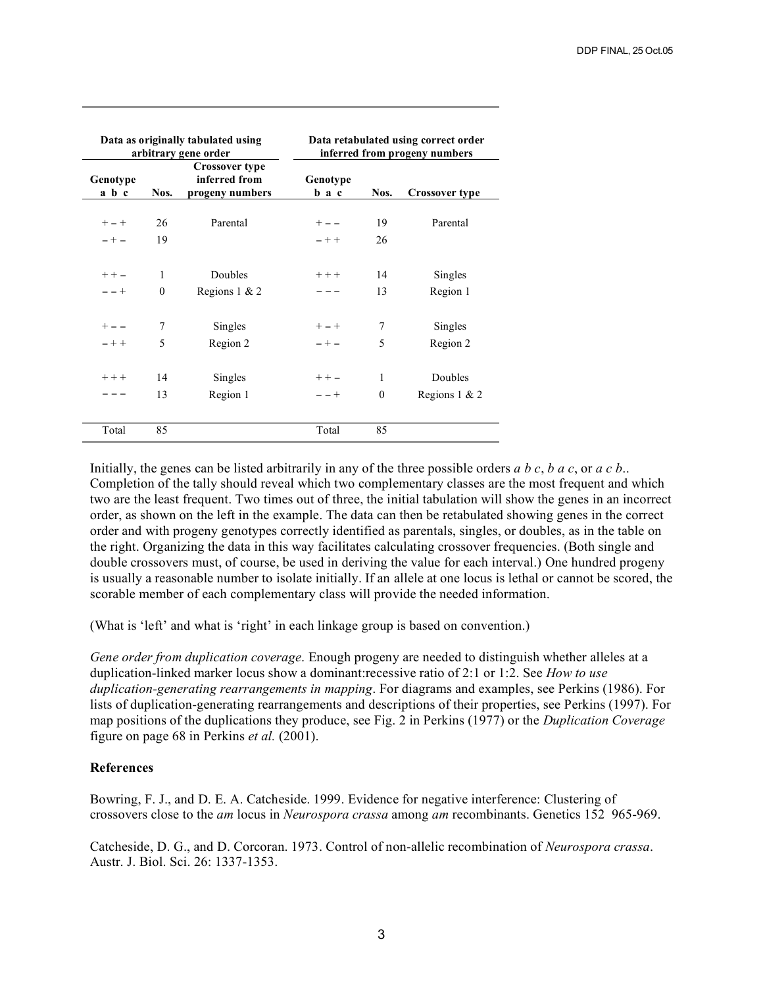| Data as originally tabulated using<br>arbitrary gene order |          |                                                           | Data retabulated using correct order<br>inferred from progeny numbers |          |                       |
|------------------------------------------------------------|----------|-----------------------------------------------------------|-----------------------------------------------------------------------|----------|-----------------------|
| Genotype<br>a b c                                          | Nos.     | <b>Crossover type</b><br>inferred from<br>progeny numbers | Genotype<br>b a c                                                     | Nos.     | <b>Crossover type</b> |
| $+ - +$                                                    | 26       | Parental                                                  | $+ - -$                                                               | 19       | Parental              |
| $- + -$                                                    | 19       |                                                           | $- + +$                                                               | 26       |                       |
| $++ -$                                                     | 1        | Doubles                                                   | $+++$                                                                 | 14       | Singles               |
| $- - +$                                                    | $\theta$ | Regions $1 \& 2$                                          |                                                                       | 13       | Region 1              |
| $+ - -$                                                    | 7        | Singles                                                   | $+ - +$                                                               | 7        | Singles               |
| $- + +$                                                    | 5        | Region 2                                                  | $- + -$                                                               | 5        | Region 2              |
| $+++$                                                      | 14       | Singles                                                   | $++-$                                                                 | 1        | Doubles               |
|                                                            | 13       | Region 1                                                  | $- - +$                                                               | $\theta$ | Regions $1 \& 2$      |
| Total                                                      | 85       |                                                           | Total                                                                 | 85       |                       |

Initially, the genes can be listed arbitrarily in any of the three possible orders *a b c*, *b a c*, or *a c b*.. Completion of the tally should reveal which two complementary classes are the most frequent and which two are the least frequent. Two times out of three, the initial tabulation will show the genes in an incorrect order, as shown on the left in the example. The data can then be retabulated showing genes in the correct order and with progeny genotypes correctly identified as parentals, singles, or doubles, as in the table on the right. Organizing the data in this way facilitates calculating crossover frequencies. (Both single and double crossovers must, of course, be used in deriving the value for each interval.) One hundred progeny is usually a reasonable number to isolate initially. If an allele at one locus is lethal or cannot be scored, the scorable member of each complementary class will provide the needed information.

(What is 'left' and what is 'right' in each linkage group is based on convention.)

*Gene order from duplication coverage*. Enough progeny are needed to distinguish whether alleles at a duplication-linked marker locus show a dominant:recessive ratio of 2:1 or 1:2. See *How to use duplication-generating rearrangements in mapping*. For diagrams and examples, see Perkins (1986). For lists of duplication-generating rearrangements and descriptions of their properties, see Perkins (1997). For map positions of the duplications they produce, see Fig. 2 in Perkins (1977) or the *Duplication Coverage* figure on page 68 in Perkins *et al.* (2001).

## **References**

Bowring, F. J., and D. E. A. Catcheside. 1999. Evidence for negative interference: Clustering of crossovers close to the *am* locus in *Neurospora crassa* among *am* recombinants. Genetics 152 965-969.

Catcheside, D. G., and D. Corcoran. 1973. Control of non-allelic recombination of *Neurospora crassa*. Austr. J. Biol. Sci. 26: 1337-1353.